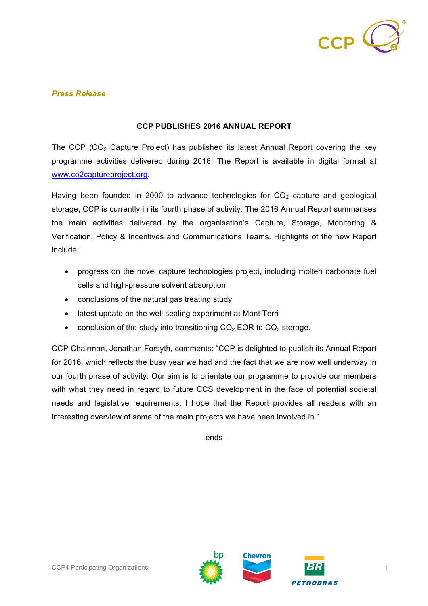

## *Press Release*

## **CCP PUBLISHES 2016 ANNUAL REPORT**

The CCP ( $CO<sub>2</sub>$  Capture Project) has published its latest Annual Report covering the key programme activities delivered during 2016. The Report is available in digital format at www.co2captureproject.org.

Having been founded in 2000 to advance technologies for  $CO<sub>2</sub>$  capture and geological storage, CCP is currently in its fourth phase of activity. The 2016 Annual Report summarises the main activities delivered by the organisation's Capture, Storage, Monitoring & Verification, Policy & Incentives and Communications Teams. Highlights of the new Report include:

- progress on the novel capture technologies project, including molten carbonate fuel cells and high-pressure solvent absorption
- conclusions of the natural gas treating study
- latest update on the well sealing experiment at Mont Terri
- conclusion of the study into transitioning  $CO<sub>2</sub>$  EOR to  $CO<sub>2</sub>$  storage.

CCP Chairman, Jonathan Forsyth, comments: "CCP is delighted to publish its Annual Report for 2016, which reflects the busy year we had and the fact that we are now well underway in our fourth phase of activity. Our aim is to orientate our programme to provide our members with what they need in regard to future CCS development in the face of potential societal needs and legislative requirements. I hope that the Report provides all readers with an interesting overview of some of the main projects we have been involved in."

- ends -